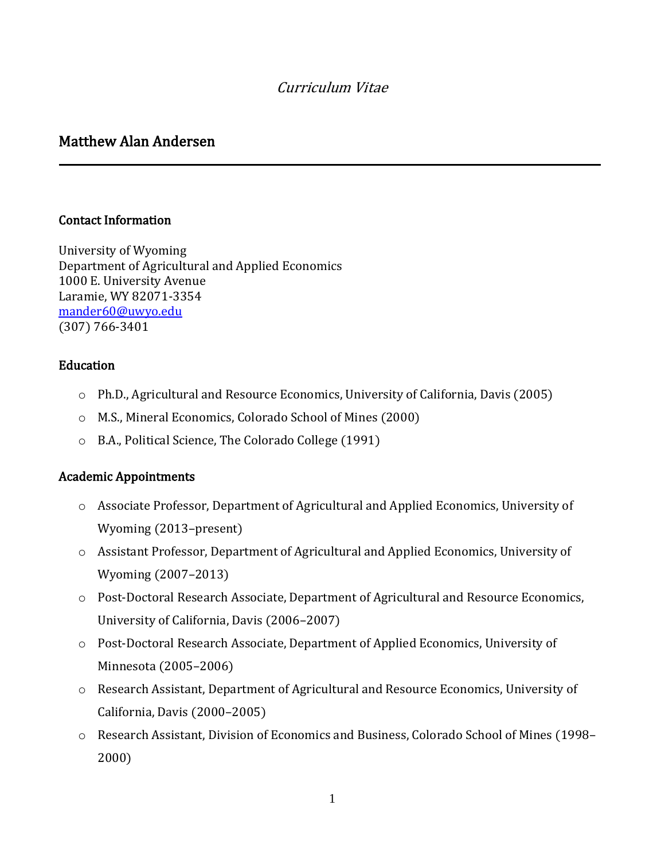# Curriculum Vitae

# Matthew Alan Andersen

#### Contact Information

-

University of Wyoming Department of Agricultural and Applied Economics 1000 E. University Avenue Laramie, WY 82071-3354 [mander60@uwyo.edu](mailto:mander60@uwyo.edu) (307) 766-3401

#### Education

- o Ph.D., Agricultural and Resource Economics, University of California, Davis (2005)
- o M.S., Mineral Economics, Colorado School of Mines (2000)
- o B.A., Political Science, The Colorado College (1991)

#### Academic Appointments

- o Associate Professor, Department of Agricultural and Applied Economics, University of Wyoming (2013–present)
- o Assistant Professor, Department of Agricultural and Applied Economics, University of Wyoming (2007–2013)
- o Post-Doctoral Research Associate, Department of Agricultural and Resource Economics, University of California, Davis (2006–2007)
- o Post-Doctoral Research Associate, Department of Applied Economics, University of Minnesota (2005–2006)
- o Research Assistant, Department of Agricultural and Resource Economics, University of California, Davis (2000–2005)
- o Research Assistant, Division of Economics and Business, Colorado School of Mines (1998– 2000)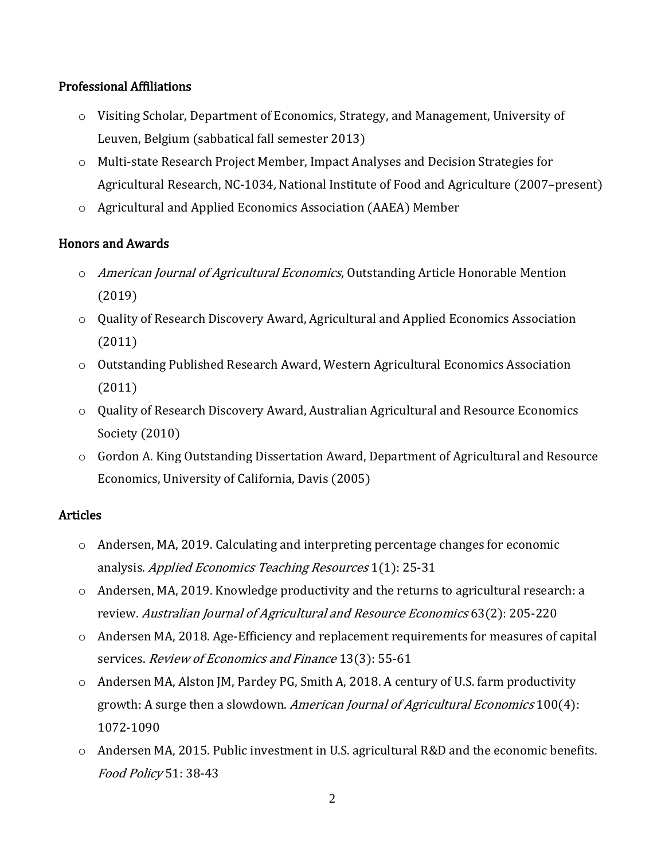#### Professional Affiliations

- o Visiting Scholar, Department of Economics, Strategy, and Management, University of Leuven, Belgium (sabbatical fall semester 2013)
- o Multi-state Research Project Member, Impact Analyses and Decision Strategies for Agricultural Research, NC-1034, National Institute of Food and Agriculture (2007–present)
- o Agricultural and Applied Economics Association (AAEA) Member

### Honors and Awards

- o American Journal of Agricultural Economics, Outstanding Article Honorable Mention (2019)
- o Quality of Research Discovery Award, Agricultural and Applied Economics Association (2011)
- o Outstanding Published Research Award, Western Agricultural Economics Association (2011)
- o Quality of Research Discovery Award, Australian Agricultural and Resource Economics Society (2010)
- $\circ$  Gordon A. King Outstanding Dissertation Award, Department of Agricultural and Resource Economics, University of California, Davis (2005)

#### Articles

- $\circ$  Andersen, MA, 2019. Calculating and interpreting percentage changes for economic analysis. Applied Economics Teaching Resources 1(1): 25-31
- o Andersen, MA, 2019. Knowledge productivity and the returns to agricultural research: a review. Australian Journal of Agricultural and Resource Economics 63(2): 205-220
- $\circ$  Andersen MA, 2018. Age-Efficiency and replacement requirements for measures of capital services. Review of Economics and Finance 13(3): 55-61
- $\circ$  Andersen MA, Alston JM, Pardey PG, Smith A, 2018. A century of U.S. farm productivity growth: A surge then a slowdown. American Journal of Agricultural Economics 100(4): 1072-1090
- $\circ$  Andersen MA, 2015. Public investment in U.S. agricultural R&D and the economic benefits. Food Policy 51: 38-43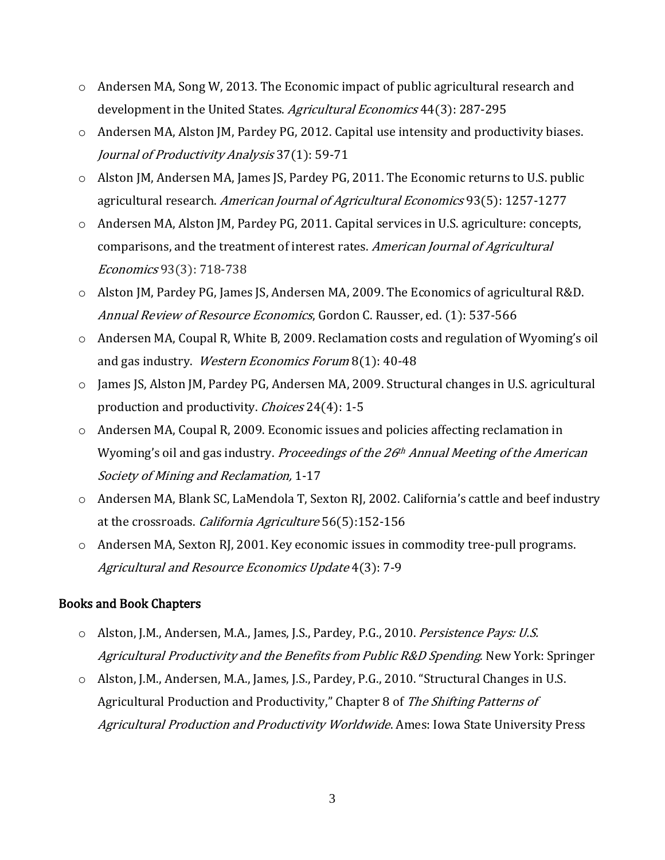- $\circ$  Andersen MA, Song W, 2013. The Economic impact of public agricultural research and development in the United States. Agricultural Economics 44(3): 287-295
- o Andersen MA, Alston JM, Pardey PG, 2012. Capital use intensity and productivity biases. Journal of Productivity Analysis 37(1): 59-71
- o Alston JM, Andersen MA, James JS, Pardey PG, 2011. The Economic returns to U.S. public agricultural research. American Journal of Agricultural Economics 93(5): 1257-1277
- o Andersen MA, Alston JM, Pardey PG, 2011. Capital services in U.S. agriculture: concepts, comparisons, and the treatment of interest rates. American Journal of Agricultural Economics 93(3): 718-738
- o Alston JM, Pardey PG, James JS, Andersen MA, 2009. The Economics of agricultural R&D. Annual Review of Resource Economics, Gordon C. Rausser, ed. (1): 537-566
- o Andersen MA, Coupal R, White B, 2009. Reclamation costs and regulation of Wyoming's oil and gas industry. Western Economics Forum 8(1): 40-48
- o James JS, Alston JM, Pardey PG, Andersen MA, 2009. Structural changes in U.S. agricultural production and productivity. Choices 24(4): 1-5
- o Andersen MA, Coupal R, 2009. Economic issues and policies affecting reclamation in Wyoming's oil and gas industry. Proceedings of the 26<sup>th</sup> Annual Meeting of the American Society of Mining and Reclamation, 1-17
- o Andersen MA, Blank SC, LaMendola T, Sexton RJ, 2002. California's cattle and beef industry at the crossroads. California Agriculture 56(5):152-156
- o Andersen MA, Sexton RJ, 2001. Key economic issues in commodity tree-pull programs. Agricultural and Resource Economics Update 4(3): 7-9

#### Books and Book Chapters

- o Alston, J.M., Andersen, M.A., James, J.S., Pardey, P.G., 2010. Persistence Pays: U.S. Agricultural Productivity and the Benefits from Public R&D Spending. New York: Springer
- o Alston, J.M., Andersen, M.A., James, J.S., Pardey, P.G., 2010. "Structural Changes in U.S. Agricultural Production and Productivity," Chapter 8 of The Shifting Patterns of Agricultural Production and Productivity Worldwide. Ames: Iowa State University Press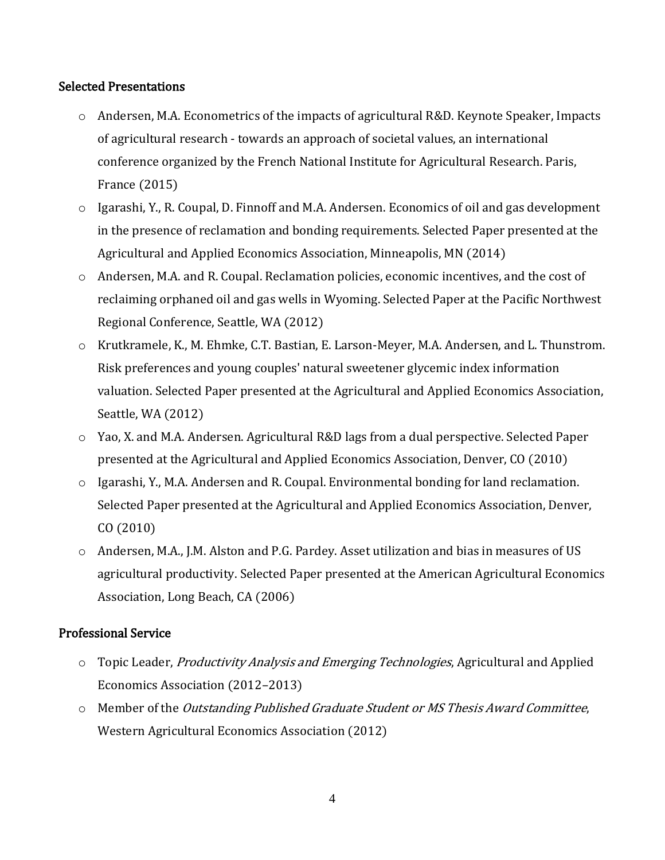#### Selected Presentations

- o Andersen, M.A. Econometrics of the impacts of agricultural R&D. Keynote Speaker, Impacts of agricultural research - towards an approach of societal values, an international conference organized by the French National Institute for Agricultural Research. Paris, France (2015)
- o Igarashi, Y., R. Coupal, D. Finnoff and M.A. Andersen. Economics of oil and gas development in the presence of reclamation and bonding requirements. Selected Paper presented at the Agricultural and Applied Economics Association, Minneapolis, MN (2014)
- o Andersen, M.A. and R. Coupal. Reclamation policies, economic incentives, and the cost of reclaiming orphaned oil and gas wells in Wyoming. Selected Paper at the Pacific Northwest Regional Conference, Seattle, WA (2012)
- o Krutkramele, K., M. Ehmke, C.T. Bastian, E. Larson-Meyer, M.A. Andersen, and L. Thunstrom. Risk preferences and young couples' natural sweetener glycemic index information valuation. Selected Paper presented at the Agricultural and Applied Economics Association, Seattle, WA (2012)
- $\circ$  Yao, X. and M.A. Andersen. Agricultural R&D lags from a dual perspective. Selected Paper presented at the Agricultural and Applied Economics Association, Denver, CO (2010)
- o Igarashi, Y., M.A. Andersen and R. Coupal. Environmental bonding for land reclamation. Selected Paper presented at the Agricultural and Applied Economics Association, Denver, CO (2010)
- o Andersen, M.A., J.M. Alston and P.G. Pardey. Asset utilization and bias in measures of US agricultural productivity. Selected Paper presented at the American Agricultural Economics Association, Long Beach, CA (2006)

# Professional Service

- o Topic Leader, *Productivity Analysis and Emerging Technologies*, Agricultural and Applied Economics Association (2012–2013)
- o Member of the Outstanding Published Graduate Student or MS Thesis Award Committee, Western Agricultural Economics Association (2012)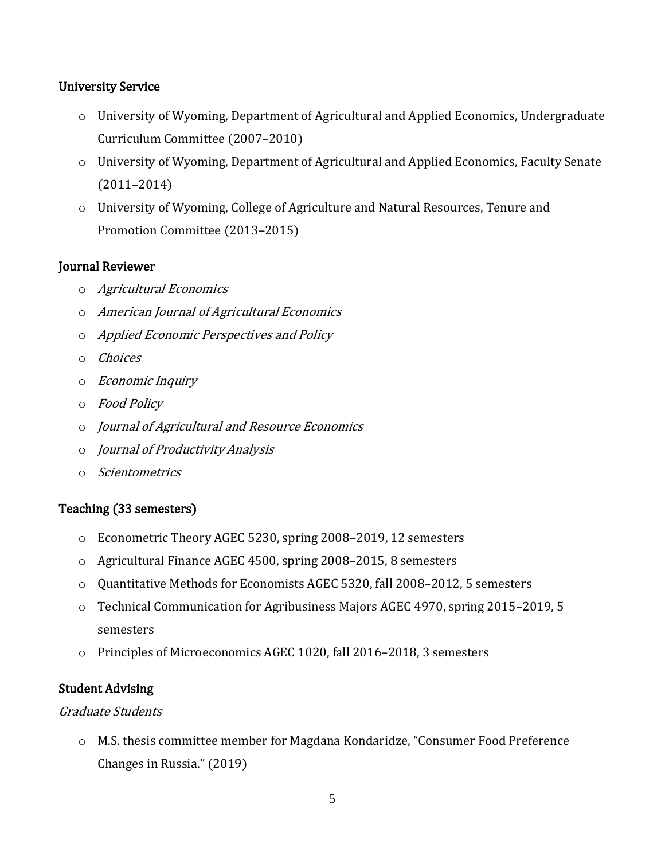### University Service

- o University of Wyoming, Department of Agricultural and Applied Economics, Undergraduate Curriculum Committee (2007–2010)
- o University of Wyoming, Department of Agricultural and Applied Economics, Faculty Senate (2011–2014)
- o University of Wyoming, College of Agriculture and Natural Resources, Tenure and Promotion Committee (2013–2015)

#### Journal Reviewer

- o Agricultural Economics
- o American Journal of Agricultural Economics
- o Applied Economic Perspectives and Policy
- o Choices
- o Economic Inquiry
- o Food Policy
- o Journal of Agricultural and Resource Economics
- o Journal of Productivity Analysis
- o Scientometrics

# Teaching (33 semesters)

- o Econometric Theory AGEC 5230, spring 2008–2019, 12 semesters
- o Agricultural Finance AGEC 4500, spring 2008–2015, 8 semesters
- o Quantitative Methods for Economists AGEC 5320, fall 2008–2012, 5 semesters
- o Technical Communication for Agribusiness Majors AGEC 4970, spring 2015–2019, 5 semesters
- o Principles of Microeconomics AGEC 1020, fall 2016–2018, 3 semesters

# Student Advising

#### Graduate Students

o M.S. thesis committee member for Magdana Kondaridze, "Consumer Food Preference Changes in Russia." (2019)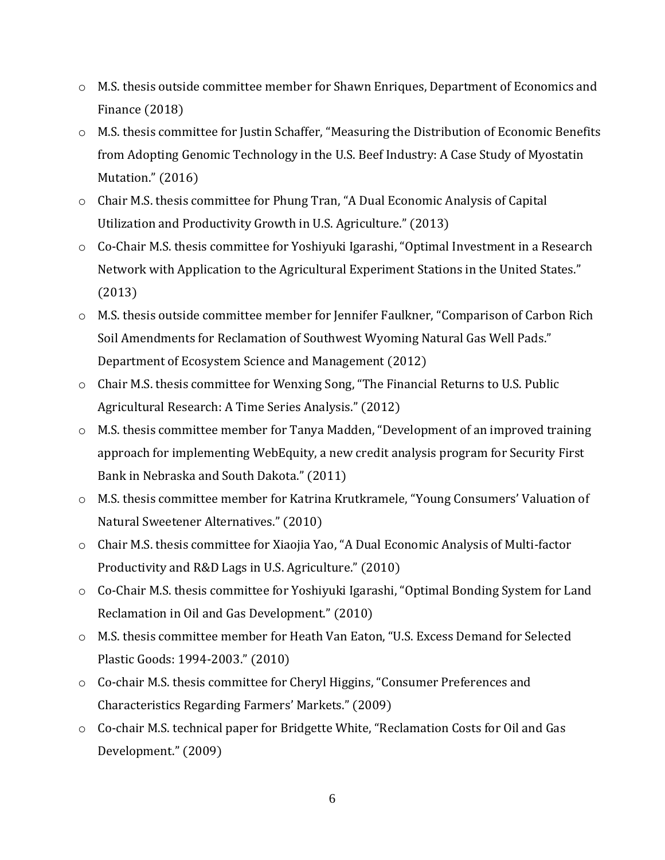- o M.S. thesis outside committee member for Shawn Enriques, Department of Economics and Finance (2018)
- o M.S. thesis committee for Justin Schaffer, "Measuring the Distribution of Economic Benefits from Adopting Genomic Technology in the U.S. Beef Industry: A Case Study of Myostatin Mutation." (2016)
- o Chair M.S. thesis committee for Phung Tran, "A Dual Economic Analysis of Capital Utilization and Productivity Growth in U.S. Agriculture." (2013)
- $\circ$  Co-Chair M.S. thesis committee for Yoshiyuki Igarashi, "Optimal Investment in a Research Network with Application to the Agricultural Experiment Stations in the United States." (2013)
- o M.S. thesis outside committee member for Jennifer Faulkner, "Comparison of Carbon Rich Soil Amendments for Reclamation of Southwest Wyoming Natural Gas Well Pads." Department of Ecosystem Science and Management (2012)
- o Chair M.S. thesis committee for Wenxing Song, "The Financial Returns to U.S. Public Agricultural Research: A Time Series Analysis." (2012)
- o M.S. thesis committee member for Tanya Madden, "Development of an improved training approach for implementing WebEquity, a new credit analysis program for Security First Bank in Nebraska and South Dakota." (2011)
- o M.S. thesis committee member for Katrina Krutkramele, "Young Consumers' Valuation of Natural Sweetener Alternatives." (2010)
- o Chair M.S. thesis committee for Xiaojia Yao, "A Dual Economic Analysis of Multi-factor Productivity and R&D Lags in U.S. Agriculture." (2010)
- o Co-Chair M.S. thesis committee for Yoshiyuki Igarashi, "Optimal Bonding System for Land Reclamation in Oil and Gas Development." (2010)
- o M.S. thesis committee member for Heath Van Eaton, "U.S. Excess Demand for Selected Plastic Goods: 1994-2003." (2010)
- o Co-chair M.S. thesis committee for Cheryl Higgins, "Consumer Preferences and Characteristics Regarding Farmers' Markets." (2009)
- o Co-chair M.S. technical paper for Bridgette White, "Reclamation Costs for Oil and Gas Development." (2009)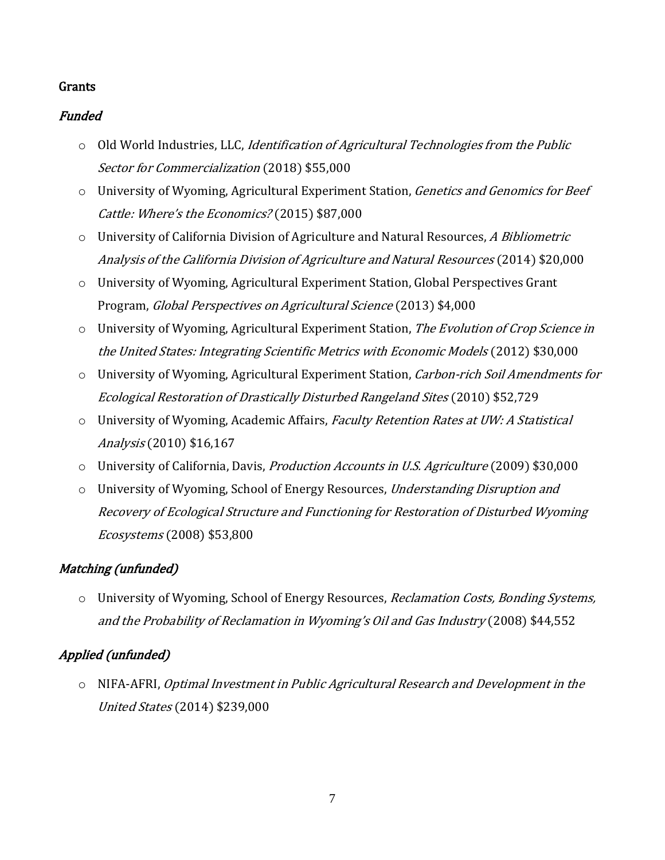### Grants

# Funded

- $\circ$  Old World Industries, LLC, *Identification of Agricultural Technologies from the Public* Sector for Commercialization (2018) \$55,000
- o University of Wyoming, Agricultural Experiment Station, Genetics and Genomics for Beef Cattle: Where's the Economics? (2015) \$87,000
- o University of California Division of Agriculture and Natural Resources, A Bibliometric Analysis of the California Division of Agriculture and Natural Resources (2014) \$20,000
- o University of Wyoming, Agricultural Experiment Station, Global Perspectives Grant Program, Global Perspectives on Agricultural Science (2013) \$4,000
- o University of Wyoming, Agricultural Experiment Station, The Evolution of Crop Science in the United States: Integrating Scientific Metrics with Economic Models (2012) \$30,000
- o University of Wyoming, Agricultural Experiment Station, Carbon-rich Soil Amendments for Ecological Restoration of Drastically Disturbed Rangeland Sites (2010) \$52,729
- o University of Wyoming, Academic Affairs, Faculty Retention Rates at UW: A Statistical Analysis (2010) \$16,167
- o University of California, Davis, Production Accounts in U.S. Agriculture (2009) \$30,000
- o University of Wyoming, School of Energy Resources, Understanding Disruption and Recovery of Ecological Structure and Functioning for Restoration of Disturbed Wyoming Ecosystems (2008) \$53,800

# Matching (unfunded)

o University of Wyoming, School of Energy Resources, Reclamation Costs, Bonding Systems, and the Probability of Reclamation in Wyoming's Oil and Gas Industry (2008) \$44,552

# Applied (unfunded)

o NIFA-AFRI, Optimal Investment in Public Agricultural Research and Development in the United States (2014) \$239,000